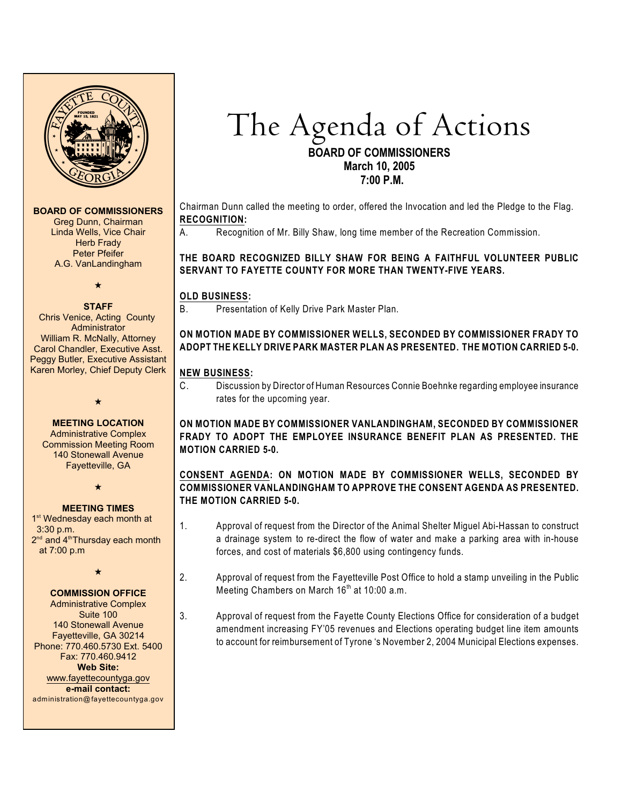

#### **BOARD OF COMMISSIONERS**

Greg Dunn, Chairman Linda Wells, Vice Chair Herb Frady Peter Pfeifer A.G. VanLandingham

 $\star$ 

#### **STAFF**

 Chris Venice, Acting County Administrator William R. McNally, Attorney Carol Chandler, Executive Asst. Peggy Butler, Executive Assistant Karen Morley, Chief Deputy Clerk

> **MEETING LOCATION** Administrative Complex

 $\bigstar$ 

Commission Meeting Room 140 Stonewall Avenue Fayetteville, GA

 $\star$ 

#### **MEETING TIMES**

1<sup>st</sup> Wednesday each month at 3:30 p.m.  $2<sup>nd</sup>$  and  $4<sup>th</sup>$ Thursday each month at 7:00 p.m

 $\star$ 

## **COMMISSION OFFICE**

Administrative Complex Suite 100 140 Stonewall Avenue Fayetteville, GA 30214 Phone: 770.460.5730 Ext. 5400 Fax: 770.460.9412 **Web Site:** [www.fayettecountyga.gov](http://www.admin.co.fayette.ga.us) **e-mail contact:** administration@fayettecountyga.gov The Agenda of Actions

## **BOARD OF COMMISSIONERS March 10, 2005 7:00 P.M.**

Chairman Dunn called the meeting to order, offered the Invocation and led the Pledge to the Flag. **RECOGNITION:**

A. Recognition of Mr. Billy Shaw, long time member of the Recreation Commission.

**THE BOARD RECOGNIZED BILLY SHAW FOR BEING A FAITHFUL VOLUNTEER PUBLIC SERVANT TO FAYETTE COUNTY FOR MORE THAN TWENTY-FIVE YEARS.** 

# **OLD BUSINESS:**

B. Presentation of Kelly Drive Park Master Plan.

# **ON MOTION MADE BY COMMISSIONER WELLS, SECONDED BY COMMISSIONER FRADY TO ADOPT THE KELLY DRIVE PARK MASTER PLAN AS PRESENTED. THE MOTION CARRIED 5-0.**

#### **NEW BUSINESS:**

C. Discussion by Director of Human Resources Connie Boehnke regarding employee insurance rates for the upcoming year.

**ON MOTION MADE BY COMMISSIONER VANLANDINGHAM, SECONDED BY COMMISSIONER FRADY TO ADOPT THE EMPLOYEE INSURANCE BENEFIT PLAN AS PRESENTED. THE MOTION CARRIED 5-0.** 

## **CONSENT AGENDA: ON MOTION MADE BY COMMISSIONER WELLS, SECONDED BY COMMISSIONER VANLANDINGHAM TO APPROVE THE CONSENT AGENDA AS PRESENTED. THE MOTION CARRIED 5-0.**

- 1. Approval of request from the Director of the Animal Shelter Miguel Abi-Hassan to construct a drainage system to re-direct the flow of water and make a parking area with in-house forces, and cost of materials \$6,800 using contingency funds.
- 2. Approval of request from the Fayetteville Post Office to hold a stamp unveiling in the Public Meeting Chambers on March 16<sup>th</sup> at 10:00 a.m.
- 3. Approval of request from the Fayette County Elections Office for consideration of a budget amendment increasing FY'05 revenues and Elections operating budget line item amounts to account for reimbursement of Tyrone 's November 2, 2004 Municipal Elections expenses.